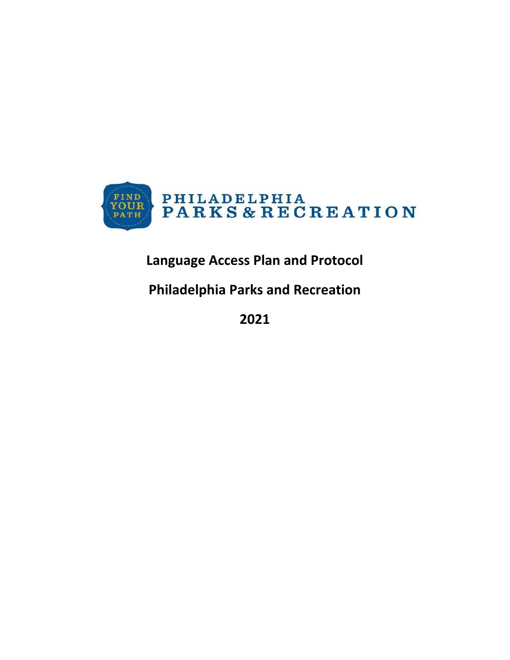

# **Language Access Plan and Protocol**

# **Philadelphia Parks and Recreation**

**2021**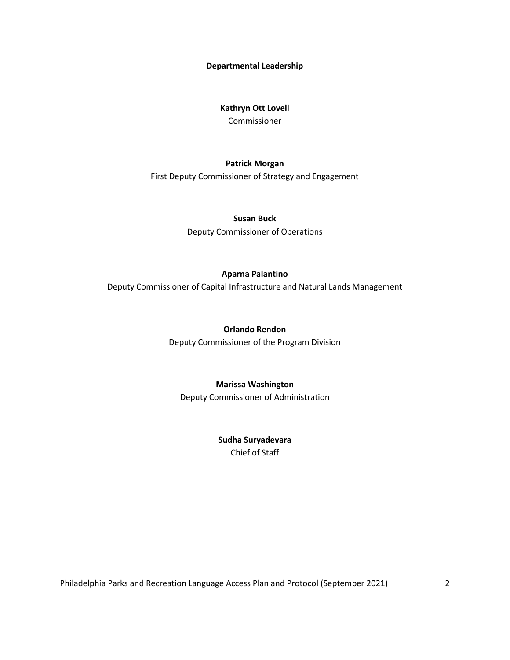**Departmental Leadership**

#### **Kathryn Ott Lovell**

Commissioner

#### **Patrick Morgan**

First Deputy Commissioner of Strategy and Engagement

#### **Susan Buck**

Deputy Commissioner of Operations

#### **Aparna Palantino**

Deputy Commissioner of Capital Infrastructure and Natural Lands Management

#### **Orlando Rendon**

Deputy Commissioner of the Program Division

#### **Marissa Washington**

Deputy Commissioner of Administration

**Sudha Suryadevara** Chief of Staff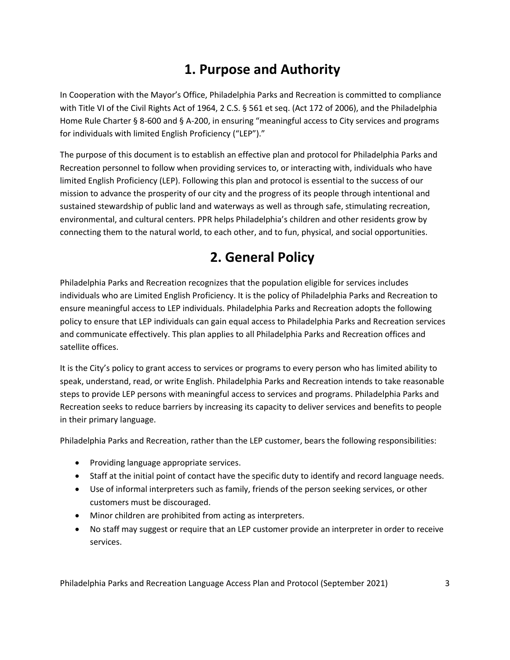# **1. Purpose and Authority**

In Cooperation with the Mayor's Office, Philadelphia Parks and Recreation is committed to compliance with Title VI of the Civil Rights Act of 1964, 2 C.S. § 561 et seq. (Act 172 of 2006), and the Philadelphia Home Rule Charter § 8-600 and § A-200, in ensuring "meaningful access to City services and programs for individuals with limited English Proficiency ("LEP")."

The purpose of this document is to establish an effective plan and protocol for Philadelphia Parks and Recreation personnel to follow when providing services to, or interacting with, individuals who have limited English Proficiency (LEP). Following this plan and protocol is essential to the success of our mission to advance the prosperity of our city and the progress of its people through intentional and sustained stewardship of public land and waterways as well as through safe, stimulating recreation, environmental, and cultural centers. PPR helps Philadelphia's children and other residents grow by connecting them to the natural world, to each other, and to fun, physical, and social opportunities.

# **2. General Policy**

Philadelphia Parks and Recreation recognizes that the population eligible for services includes individuals who are Limited English Proficiency. It is the policy of Philadelphia Parks and Recreation to ensure meaningful access to LEP individuals. Philadelphia Parks and Recreation adopts the following policy to ensure that LEP individuals can gain equal access to Philadelphia Parks and Recreation services and communicate effectively. This plan applies to all Philadelphia Parks and Recreation offices and satellite offices.

It is the City's policy to grant access to services or programs to every person who has limited ability to speak, understand, read, or write English. Philadelphia Parks and Recreation intends to take reasonable steps to provide LEP persons with meaningful access to services and programs. Philadelphia Parks and Recreation seeks to reduce barriers by increasing its capacity to deliver services and benefits to people in their primary language.

Philadelphia Parks and Recreation, rather than the LEP customer, bears the following responsibilities:

- Providing language appropriate services.
- Staff at the initial point of contact have the specific duty to identify and record language needs.
- Use of informal interpreters such as family, friends of the person seeking services, or other customers must be discouraged.
- Minor children are prohibited from acting as interpreters.
- No staff may suggest or require that an LEP customer provide an interpreter in order to receive services.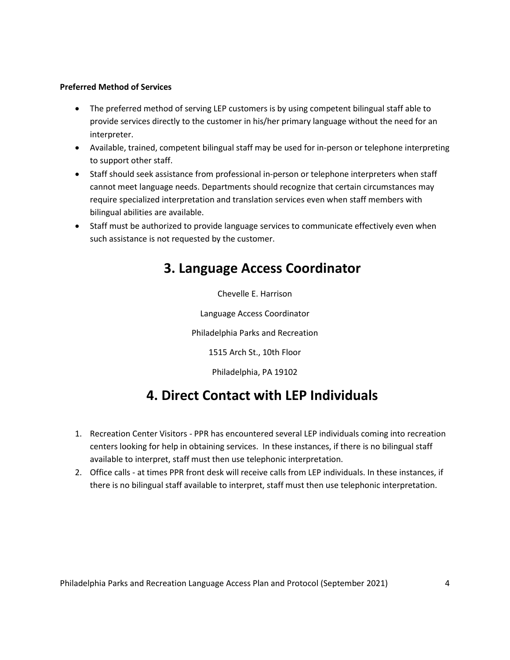#### **Preferred Method of Services**

- The preferred method of serving LEP customers is by using competent bilingual staff able to provide services directly to the customer in his/her primary language without the need for an interpreter.
- Available, trained, competent bilingual staff may be used for in-person or telephone interpreting to support other staff.
- Staff should seek assistance from professional in-person or telephone interpreters when staff cannot meet language needs. Departments should recognize that certain circumstances may require specialized interpretation and translation services even when staff members with bilingual abilities are available.
- Staff must be authorized to provide language services to communicate effectively even when such assistance is not requested by the customer.

### **3. Language Access Coordinator**

Chevelle E. Harrison

Language Access Coordinator

Philadelphia Parks and Recreation

1515 Arch St., 10th Floor

Philadelphia, PA 19102

### **4. Direct Contact with LEP Individuals**

- 1. Recreation Center Visitors PPR has encountered several LEP individuals coming into recreation centers looking for help in obtaining services. In these instances, if there is no bilingual staff available to interpret, staff must then use telephonic interpretation.
- 2. Office calls at times PPR front desk will receive calls from LEP individuals. In these instances, if there is no bilingual staff available to interpret, staff must then use telephonic interpretation.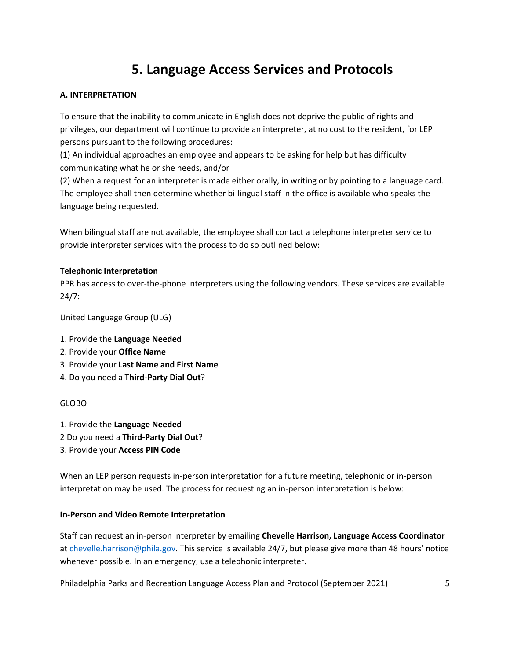### **5. Language Access Services and Protocols**

#### **A. INTERPRETATION**

To ensure that the inability to communicate in English does not deprive the public of rights and privileges, our department will continue to provide an interpreter, at no cost to the resident, for LEP persons pursuant to the following procedures:

(1) An individual approaches an employee and appears to be asking for help but has difficulty communicating what he or she needs, and/or

(2) When a request for an interpreter is made either orally, in writing or by pointing to a language card. The employee shall then determine whether bi-lingual staff in the office is available who speaks the language being requested.

When bilingual staff are not available, the employee shall contact a telephone interpreter service to provide interpreter services with the process to do so outlined below:

#### **Telephonic Interpretation**

PPR has access to over-the-phone interpreters using the following vendors. These services are available 24/7:

United Language Group (ULG)

- 1. Provide the **Language Needed**
- 2. Provide your **Office Name**
- 3. Provide your **Last Name and First Name**
- 4. Do you need a **Third-Party Dial Out**?

#### GLOBO

- 1. Provide the **Language Needed**
- 2 Do you need a **Third-Party Dial Out**?
- 3. Provide your **Access PIN Code**

When an LEP person requests in-person interpretation for a future meeting, telephonic or in-person interpretation may be used. The process for requesting an in-person interpretation is below:

#### **In-Person and Video Remote Interpretation**

Staff can request an in-person interpreter by emailing **Chevelle Harrison, Language Access Coordinator** at [chevelle.harrison@phila.gov.](chevelle.harrison@phila.gov) This service is available 24/7, but please give more than 48 hours' notice whenever possible. In an emergency, use a telephonic interpreter.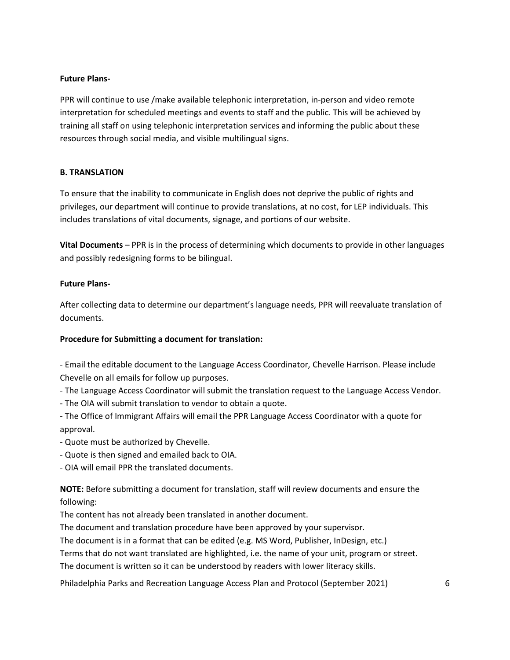#### **Future Plans-**

PPR will continue to use /make available telephonic interpretation, in-person and video remote interpretation for scheduled meetings and events to staff and the public. This will be achieved by training all staff on using telephonic interpretation services and informing the public about these resources through social media, and visible multilingual signs.

#### **B. TRANSLATION**

To ensure that the inability to communicate in English does not deprive the public of rights and privileges, our department will continue to provide translations, at no cost, for LEP individuals. This includes translations of vital documents, signage, and portions of our website.

**Vital Documents** – PPR is in the process of determining which documents to provide in other languages and possibly redesigning forms to be bilingual.

#### **Future Plans-**

After collecting data to determine our department's language needs, PPR will reevaluate translation of documents.

#### **Procedure for Submitting a document for translation:**

- Email the editable document to the Language Access Coordinator, Chevelle Harrison. Please include Chevelle on all emails for follow up purposes.

- The Language Access Coordinator will submit the translation request to the Language Access Vendor.
- The OIA will submit translation to vendor to obtain a quote.

- The Office of Immigrant Affairs will email the PPR Language Access Coordinator with a quote for approval.

- Quote must be authorized by Chevelle.
- Quote is then signed and emailed back to OIA.

- OIA will email PPR the translated documents.

**NOTE:** Before submitting a document for translation, staff will review documents and ensure the following:

The content has not already been translated in another document.

The document and translation procedure have been approved by your supervisor.

The document is in a format that can be edited (e.g. MS Word, Publisher, InDesign, etc.)

Terms that do not want translated are highlighted, i.e. the name of your unit, program or street.

The document is written so it can be understood by readers with lower literacy skills.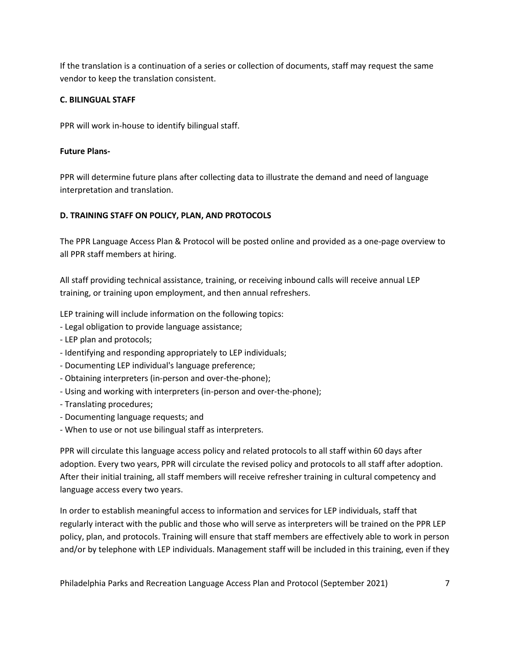If the translation is a continuation of a series or collection of documents, staff may request the same vendor to keep the translation consistent.

#### **C. BILINGUAL STAFF**

PPR will work in-house to identify bilingual staff.

#### **Future Plans-**

PPR will determine future plans after collecting data to illustrate the demand and need of language interpretation and translation.

#### **D. TRAINING STAFF ON POLICY, PLAN, AND PROTOCOLS**

The PPR Language Access Plan & Protocol will be posted online and provided as a one-page overview to all PPR staff members at hiring.

All staff providing technical assistance, training, or receiving inbound calls will receive annual LEP training, or training upon employment, and then annual refreshers.

LEP training will include information on the following topics:

- Legal obligation to provide language assistance;
- LEP plan and protocols;
- Identifying and responding appropriately to LEP individuals;
- Documenting LEP individual's language preference;
- Obtaining interpreters (in-person and over-the-phone);
- Using and working with interpreters (in-person and over-the-phone);
- Translating procedures;
- Documenting language requests; and
- When to use or not use bilingual staff as interpreters.

PPR will circulate this language access policy and related protocols to all staff within 60 days after adoption. Every two years, PPR will circulate the revised policy and protocols to all staff after adoption. After their initial training, all staff members will receive refresher training in cultural competency and language access every two years.

In order to establish meaningful access to information and services for LEP individuals, staff that regularly interact with the public and those who will serve as interpreters will be trained on the PPR LEP policy, plan, and protocols. Training will ensure that staff members are effectively able to work in person and/or by telephone with LEP individuals. Management staff will be included in this training, even if they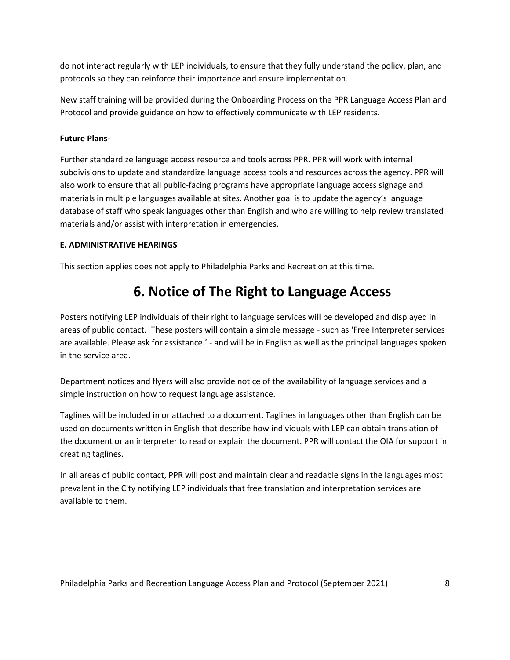do not interact regularly with LEP individuals, to ensure that they fully understand the policy, plan, and protocols so they can reinforce their importance and ensure implementation.

New staff training will be provided during the Onboarding Process on the PPR Language Access Plan and Protocol and provide guidance on how to effectively communicate with LEP residents.

#### **Future Plans-**

Further standardize language access resource and tools across PPR. PPR will work with internal subdivisions to update and standardize language access tools and resources across the agency. PPR will also work to ensure that all public-facing programs have appropriate language access signage and materials in multiple languages available at sites. Another goal is to update the agency's language database of staff who speak languages other than English and who are willing to help review translated materials and/or assist with interpretation in emergencies.

#### **E. ADMINISTRATIVE HEARINGS**

This section applies does not apply to Philadelphia Parks and Recreation at this time.

### **6. Notice of The Right to Language Access**

Posters notifying LEP individuals of their right to language services will be developed and displayed in areas of public contact. These posters will contain a simple message - such as 'Free Interpreter services are available. Please ask for assistance.' - and will be in English as well as the principal languages spoken in the service area.

Department notices and flyers will also provide notice of the availability of language services and a simple instruction on how to request language assistance.

Taglines will be included in or attached to a document. Taglines in languages other than English can be used on documents written in English that describe how individuals with LEP can obtain translation of the document or an interpreter to read or explain the document. PPR will contact the OIA for support in creating taglines.

In all areas of public contact, PPR will post and maintain clear and readable signs in the languages most prevalent in the City notifying LEP individuals that free translation and interpretation services are available to them.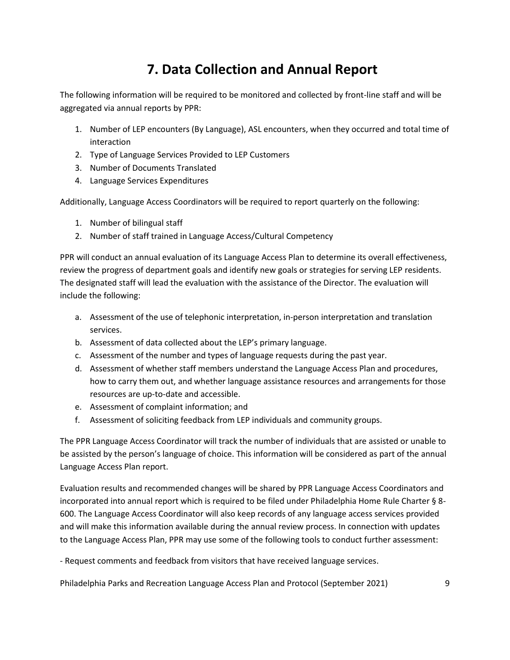## **7. Data Collection and Annual Report**

The following information will be required to be monitored and collected by front-line staff and will be aggregated via annual reports by PPR:

- 1. Number of LEP encounters (By Language), ASL encounters, when they occurred and total time of interaction
- 2. Type of Language Services Provided to LEP Customers
- 3. Number of Documents Translated
- 4. Language Services Expenditures

Additionally, Language Access Coordinators will be required to report quarterly on the following:

- 1. Number of bilingual staff
- 2. Number of staff trained in Language Access/Cultural Competency

PPR will conduct an annual evaluation of its Language Access Plan to determine its overall effectiveness, review the progress of department goals and identify new goals or strategies for serving LEP residents. The designated staff will lead the evaluation with the assistance of the Director. The evaluation will include the following:

- a. Assessment of the use of telephonic interpretation, in-person interpretation and translation services.
- b. Assessment of data collected about the LEP's primary language.
- c. Assessment of the number and types of language requests during the past year.
- d. Assessment of whether staff members understand the Language Access Plan and procedures, how to carry them out, and whether language assistance resources and arrangements for those resources are up-to-date and accessible.
- e. Assessment of complaint information; and
- f. Assessment of soliciting feedback from LEP individuals and community groups.

The PPR Language Access Coordinator will track the number of individuals that are assisted or unable to be assisted by the person's language of choice. This information will be considered as part of the annual Language Access Plan report.

Evaluation results and recommended changes will be shared by PPR Language Access Coordinators and incorporated into annual report which is required to be filed under Philadelphia Home Rule Charter § 8- 600. The Language Access Coordinator will also keep records of any language access services provided and will make this information available during the annual review process. In connection with updates to the Language Access Plan, PPR may use some of the following tools to conduct further assessment:

- Request comments and feedback from visitors that have received language services.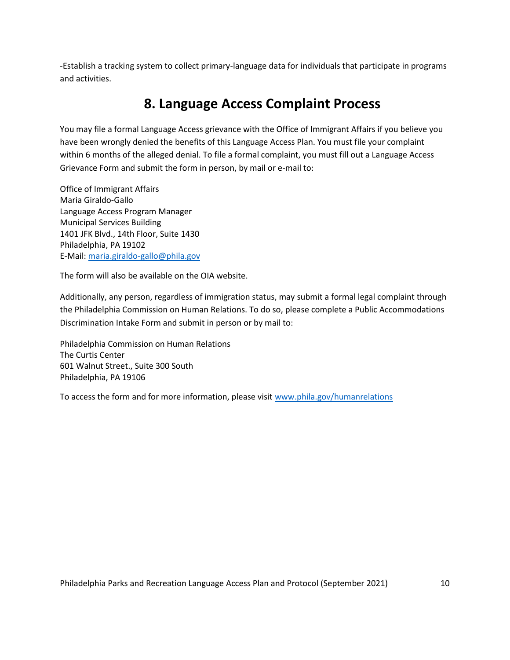-Establish a tracking system to collect primary-language data for individuals that participate in programs and activities.

### **8. Language Access Complaint Process**

You may file a formal Language Access grievance with the Office of Immigrant Affairs if you believe you have been wrongly denied the benefits of this Language Access Plan. You must file your complaint within 6 months of the alleged denial. To file a formal complaint, you must fill out a Language Access Grievance Form and submit the form in person, by mail or e-mail to:

Office of Immigrant Affairs Maria Giraldo-Gallo Language Access Program Manager Municipal Services Building 1401 JFK Blvd., 14th Floor, Suite 1430 Philadelphia, PA 19102 E-Mail:<maria.giraldo-gallo@phila.gov>

The form will also be available on the OIA website.

Additionally, any person, regardless of immigration status, may submit a formal legal complaint through the Philadelphia Commission on Human Relations. To do so, please complete a Public Accommodations Discrimination Intake Form and submit in person or by mail to:

Philadelphia Commission on Human Relations The Curtis Center 601 Walnut Street., Suite 300 South Philadelphia, PA 19106

To access the form and for more information, please visit [www.phila.gov/humanrelations](http://www.phila.gov/humanrelations)